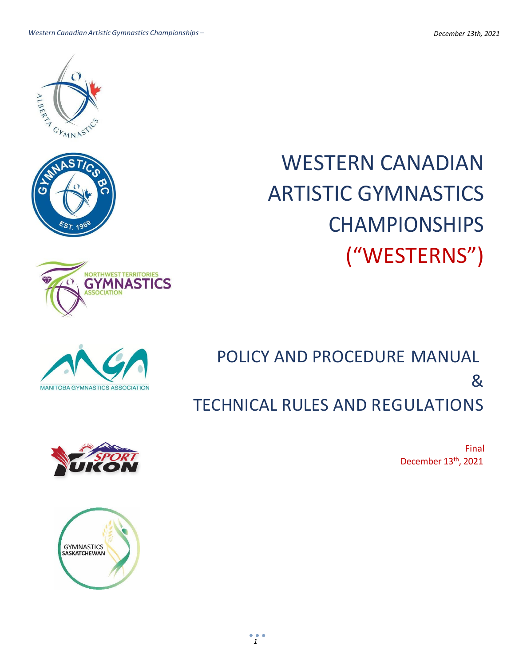WESTERN CANADIAN ARTISTIC GYMNASTICS CHAMPIONSHIPS ("WESTERNS")

POLICY AND PROCEDURE MANUAL & TECHNICAL RULES AND REGULATIONS

Final December 13<sup>th</sup>, 2021







**NORTHWEST TERRITORIES GYMNASTICS** 

**IATION** 



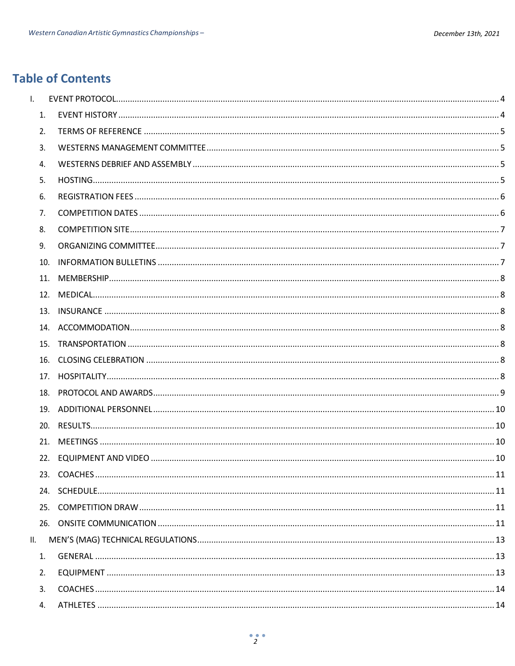# **Table of Contents**

| $\mathsf{L}$     |     |  |
|------------------|-----|--|
| $\mathbf{1}$ .   |     |  |
| 2.               |     |  |
| 3.               |     |  |
| $\overline{4}$ . |     |  |
| 5.               |     |  |
| 6.               |     |  |
| 7.               |     |  |
| 8.               |     |  |
| 9.               |     |  |
|                  | 10. |  |
|                  |     |  |
|                  |     |  |
|                  |     |  |
|                  |     |  |
|                  |     |  |
|                  |     |  |
|                  |     |  |
|                  |     |  |
|                  |     |  |
|                  |     |  |
|                  |     |  |
|                  |     |  |
|                  |     |  |
|                  |     |  |
|                  |     |  |
|                  |     |  |
| Ш.               |     |  |
| 1.               |     |  |
| 2.               |     |  |
| 3.               |     |  |
| 4.               |     |  |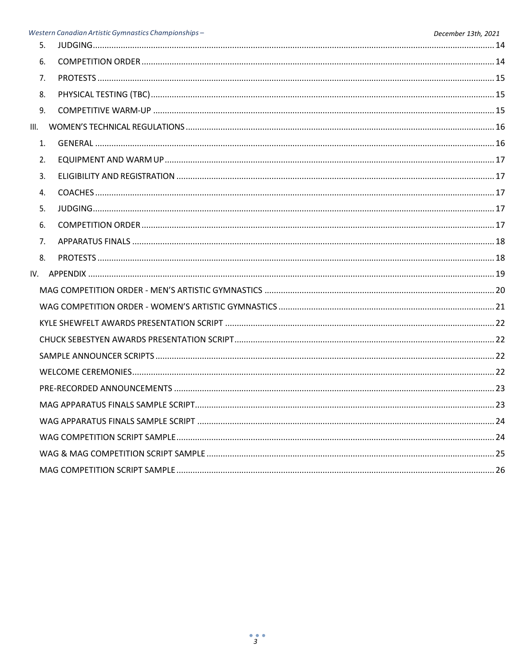|      | Western Canadian Artistic Gymnastics Championships - | December 13th, 2021 |
|------|------------------------------------------------------|---------------------|
| 5.   |                                                      |                     |
| 6.   |                                                      |                     |
| 7.   |                                                      |                     |
| 8.   |                                                      |                     |
| 9.   |                                                      |                     |
| III. |                                                      |                     |
| 1.   |                                                      |                     |
| 2.   |                                                      |                     |
| 3.   |                                                      |                     |
| 4.   |                                                      |                     |
| 5.   |                                                      |                     |
| 6.   |                                                      |                     |
| 7.   |                                                      |                     |
| 8.   |                                                      |                     |
|      |                                                      |                     |
|      |                                                      |                     |
|      |                                                      |                     |
|      |                                                      |                     |
|      |                                                      |                     |
|      |                                                      |                     |
|      |                                                      |                     |
|      |                                                      |                     |
|      |                                                      |                     |
|      |                                                      |                     |
|      |                                                      |                     |
|      |                                                      |                     |
|      |                                                      |                     |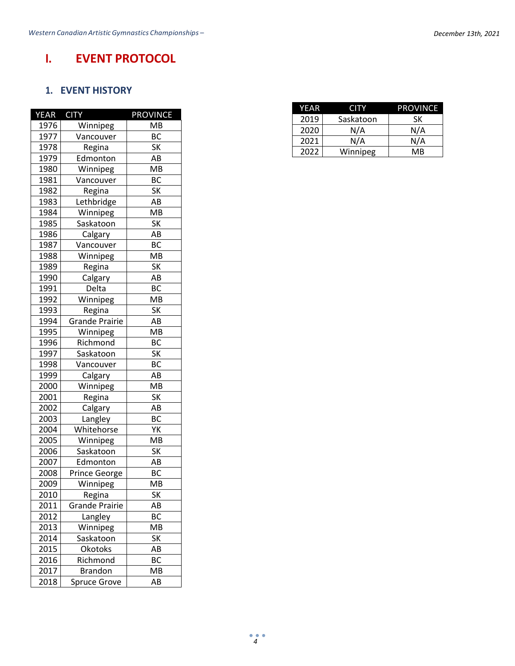# <span id="page-3-1"></span><span id="page-3-0"></span>**I. EVENT PROTOCOL**

### **1. EVENT HISTORY**

| <b>YEAR</b> | <b>CITY</b>           | <b>PROVINCE</b> |
|-------------|-----------------------|-----------------|
| 1976        | Winnipeg              | <b>MB</b>       |
| 1977        | Vancouver             | BC              |
| 1978        | Regina                | SK              |
| 1979        | Edmonton              | AB              |
| 1980        | Winnipeg              | MB              |
| 1981        | Vancouver             | <b>BC</b>       |
| 1982        | Regina                | <b>SK</b>       |
| 1983        | Lethbridge            | AB              |
| 1984        | Winnipeg              | МB              |
| 1985        | Saskatoon             | <b>SK</b>       |
| 1986        | Calgary               | AB              |
| 1987        | Vancouver             | <b>BC</b>       |
| 1988        | Winnipeg              | <b>MB</b>       |
| 1989        | Regina                | SK              |
| 1990        | Calgary               | AB              |
| 1991        | Delta                 | BC              |
| 1992        | Winnipeg              | MB              |
| 1993        | Regina                | <b>SK</b>       |
| 1994        | <b>Grande Prairie</b> | AB              |
| 1995        | Winnipeg              | MB              |
| 1996        | Richmond              | BC              |
| 1997        | Saskatoon             | SK              |
| 1998        | Vancouver             | BC              |
| 1999        | Calgary               | AB              |
| 2000        | Winnipeg              | MB              |
| 2001        | Regina                | SK              |
| 2002        | Calgary               | AB              |
| 2003        | Langley               | <b>BC</b>       |
| 2004        | Whitehorse            | YΚ              |
| 2005        | Winnipeg              | MB              |
| 2006        | Saskatoon             | SK              |
| 2007        | Edmonton              | AB              |
| 2008        | <b>Prince George</b>  | <b>BC</b>       |
| 2009        | Winnipeg              | MB              |
| 2010        | Regina                | SK              |
| 2011        | <b>Grande Prairie</b> | AB              |
| 2012        | Langley               | BC              |
| 2013        | Winnipeg              | MB              |
| 2014        | Saskatoon             | SK              |
| 2015        | Okotoks               | AB              |
| 2016        | Richmond              | BC              |
| 2017        | <b>Brandon</b>        | МB              |
| 2018        | <b>Spruce Grove</b>   | AB              |

| YEAR | CITY.     | <b>PROVINCE</b> |
|------|-----------|-----------------|
| 2019 | Saskatoon | SК              |
| 2020 | N/A       | N/A             |
| 2021 | N/A       | N/A             |
| 2022 | Winnipeg  | МB              |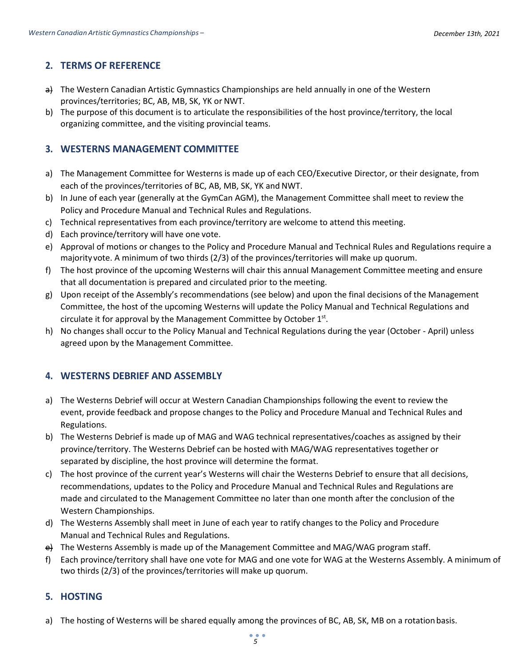### <span id="page-4-0"></span>**2. TERMS OF REFERENCE**

- a) The Western Canadian Artistic Gymnastics Championships are held annually in one of the Western provinces/territories; BC, AB, MB, SK, YK or NWT.
- b) The purpose of this document is to articulate the responsibilities of the host province/territory, the local organizing committee, and the visiting provincial teams.

### <span id="page-4-1"></span>**3. WESTERNS MANAGEMENT COMMITTEE**

- a) The Management Committee for Westerns is made up of each CEO/Executive Director, or their designate, from each of the provinces/territories of BC, AB, MB, SK, YK and NWT.
- b) In June of each year (generally at the GymCan AGM), the Management Committee shall meet to review the Policy and Procedure Manual and Technical Rules and Regulations.
- c) Technical representatives from each province/territory are welcome to attend this meeting.
- d) Each province/territory will have one vote.
- e) Approval of motions or changes to the Policy and Procedure Manual and Technical Rules and Regulations require a majorityvote. A minimum of two thirds (2/3) of the provinces/territories will make up quorum.
- f) The host province of the upcoming Westerns will chair this annual Management Committee meeting and ensure that all documentation is prepared and circulated prior to the meeting.
- g) Upon receipt of the Assembly's recommendations (see below) and upon the final decisions of the Management Committee, the host of the upcoming Westerns will update the Policy Manual and Technical Regulations and circulate it for approval by the Management Committee by October  $1<sup>st</sup>$ .
- h) No changes shall occur to the Policy Manual and Technical Regulations during the year (October April) unless agreed upon by the Management Committee.

### <span id="page-4-2"></span>**4. WESTERNS DEBRIEF AND ASSEMBLY**

- a) The Westerns Debrief will occur at Western Canadian Championships following the event to review the event, provide feedback and propose changes to the Policy and Procedure Manual and Technical Rules and Regulations.
- b) The Westerns Debrief is made up of MAG and WAG technical representatives/coaches as assigned by their province/territory. The Westerns Debrief can be hosted with MAG/WAG representatives together or separated by discipline, the host province will determine the format.
- c) The host province of the current year's Westerns will chair the Westerns Debrief to ensure that all decisions, recommendations, updates to the Policy and Procedure Manual and Technical Rules and Regulations are made and circulated to the Management Committee no later than one month after the conclusion of the Western Championships.
- d) The Westerns Assembly shall meet in June of each year to ratify changes to the Policy and Procedure Manual and Technical Rules and Regulations.
- e) The Westerns Assembly is made up of the Management Committee and MAG/WAG program staff.
- f) Each province/territory shall have one vote for MAG and one vote for WAG at the Westerns Assembly. A minimum of two thirds (2/3) of the provinces/territories will make up quorum.

#### <span id="page-4-3"></span>**5. HOSTING**

a) The hosting of Westerns will be shared equally among the provinces of BC, AB, SK, MB on a rotationbasis.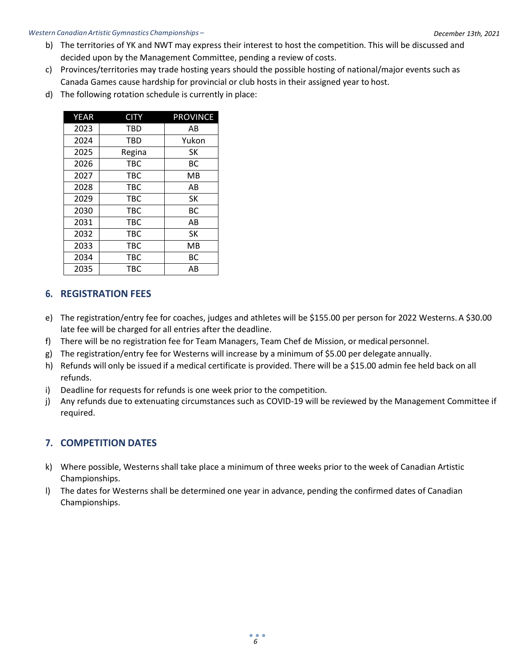#### *Western Canadian ArtisticGymnastics Championships –*

- *Policy Manual and Technical Regulations* b) The territories of YK and NWT may express their interest to host the competition. This will be discussed and decided upon by the Management Committee, pending a review of costs.
	- c) Provinces/territories may trade hosting years should the possible hosting of national/major events such as Canada Games cause hardship for provincial or club hosts in their assigned year to host.
	- d) The following rotation schedule is currently in place:

| <b>YEAR</b> | <b>CITY</b> | <b>PROVINCE</b> |
|-------------|-------------|-----------------|
| 2023        | <b>TBD</b>  | AB              |
| 2024        | <b>TBD</b>  | Yukon           |
| 2025        | Regina      | SK              |
| 2026        | <b>TBC</b>  | ВC              |
| 2027        | <b>TBC</b>  | MВ              |
| 2028        | <b>TBC</b>  | AB              |
| 2029        | <b>TBC</b>  | SK              |
| 2030        | <b>TBC</b>  | <b>BC</b>       |
| 2031        | <b>TBC</b>  | AB              |
| 2032        | <b>TBC</b>  | SK              |
| 2033        | <b>TBC</b>  | <b>MB</b>       |
| 2034        | <b>TBC</b>  | ВC              |
| 2035        | TBC         | AB              |

### <span id="page-5-0"></span>**6. REGISTRATION FEES**

- e) The registration/entry fee for coaches, judges and athletes will be \$155.00 per person for 2022 Westerns. A \$30.00 late fee will be charged for all entries after the deadline.
- f) There will be no registration fee for Team Managers, Team Chef de Mission, or medical personnel.
- g) The registration/entry fee for Westerns will increase by a minimum of \$5.00 per delegate annually.
- h) Refunds will only be issued if a medical certificate is provided. There will be a \$15.00 admin fee held back on all refunds.
- i) Deadline for requests for refunds is one week prior to the competition.
- j) Any refunds due to extenuating circumstances such as COVID-19 will be reviewed by the Management Committee if required.

### <span id="page-5-1"></span>**7. COMPETITION DATES**

- k) Where possible, Westerns shall take place a minimum of three weeks prior to the week of Canadian Artistic Championships.
- l) The dates for Westerns shall be determined one year in advance, pending the confirmed dates of Canadian Championships.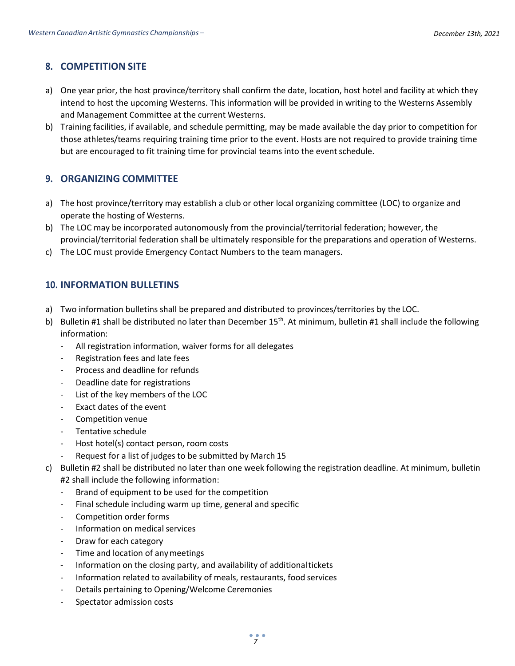### <span id="page-6-0"></span>**8. COMPETITION SITE**

- a) One year prior, the host province/territory shall confirm the date, location, host hotel and facility at which they intend to host the upcoming Westerns. This information will be provided in writing to the Westerns Assembly and Management Committee at the current Westerns.
- b) Training facilities, if available, and schedule permitting, may be made available the day prior to competition for those athletes/teams requiring training time prior to the event. Hosts are not required to provide training time but are encouraged to fit training time for provincial teams into the event schedule.

### <span id="page-6-1"></span>**9. ORGANIZING COMMITTEE**

- a) The host province/territory may establish a club or other local organizing committee (LOC) to organize and operate the hosting of Westerns.
- b) The LOC may be incorporated autonomously from the provincial/territorial federation; however, the provincial/territorial federation shall be ultimately responsible for the preparations and operation of Westerns.
- c) The LOC must provide Emergency Contact Numbers to the team managers.

### <span id="page-6-2"></span>**10. INFORMATION BULLETINS**

- a) Two information bulletins shall be prepared and distributed to provinces/territories by the LOC.
- b) Bulletin #1 shall be distributed no later than December  $15<sup>th</sup>$ . At minimum, bulletin #1 shall include the following information:
	- All registration information, waiver forms for all delegates
	- Registration fees and late fees
	- Process and deadline for refunds
	- Deadline date for registrations
	- List of the key members of the LOC
	- Exact dates of the event
	- Competition venue
	- Tentative schedule
	- Host hotel(s) contact person, room costs
	- Request for a list of judges to be submitted by March 15
- c) Bulletin #2 shall be distributed no later than one week following the registration deadline. At minimum, bulletin #2 shall include the following information:
	- Brand of equipment to be used for the competition
	- Final schedule including warm up time, general and specific
	- Competition order forms
	- Information on medical services
	- Draw for each category
	- Time and location of any meetings
	- Information on the closing party, and availability of additionaltickets
	- Information related to availability of meals, restaurants, food services
	- Details pertaining to Opening/Welcome Ceremonies
	- Spectator admission costs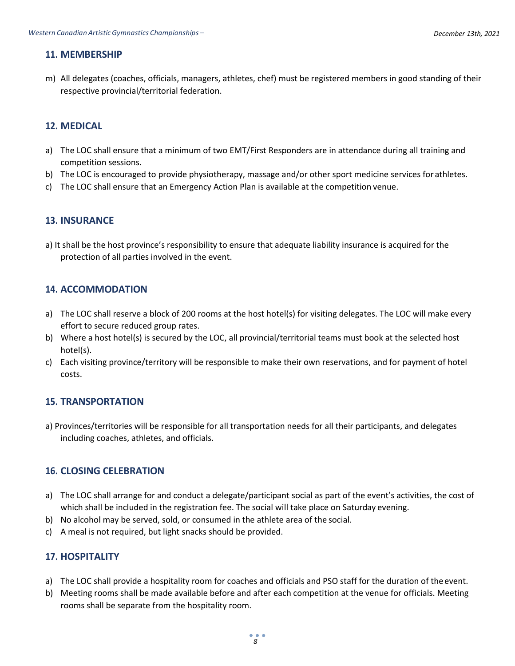### <span id="page-7-0"></span>**11. MEMBERSHIP**

m) All delegates (coaches, officials, managers, athletes, chef) must be registered members in good standing of their respective provincial/territorial federation.

### <span id="page-7-1"></span>**12. MEDICAL**

- a) The LOC shall ensure that a minimum of two EMT/First Responders are in attendance during all training and competition sessions.
- b) The LOC is encouraged to provide physiotherapy, massage and/or other sport medicine services for athletes.
- c) The LOC shall ensure that an Emergency Action Plan is available at the competition venue.

### <span id="page-7-2"></span>**13. INSURANCE**

a) It shall be the host province's responsibility to ensure that adequate liability insurance is acquired for the protection of all parties involved in the event.

### <span id="page-7-3"></span>**14. ACCOMMODATION**

- a) The LOC shall reserve a block of 200 rooms at the host hotel(s) for visiting delegates. The LOC will make every effort to secure reduced group rates.
- b) Where a host hotel(s) is secured by the LOC, all provincial/territorial teams must book at the selected host hotel(s).
- c) Each visiting province/territory will be responsible to make their own reservations, and for payment of hotel costs.

### <span id="page-7-4"></span>**15. TRANSPORTATION**

a) Provinces/territories will be responsible for all transportation needs for all their participants, and delegates including coaches, athletes, and officials.

### <span id="page-7-5"></span>**16. CLOSING CELEBRATION**

- a) The LOC shall arrange for and conduct a delegate/participant social as part of the event's activities, the cost of which shall be included in the registration fee. The social will take place on Saturday evening.
- b) No alcohol may be served, sold, or consumed in the athlete area of the social.
- c) A meal is not required, but light snacks should be provided.

### <span id="page-7-6"></span>**17. HOSPITALITY**

- a) The LOC shall provide a hospitality room for coaches and officials and PSO staff for the duration of theevent.
- b) Meeting rooms shall be made available before and after each competition at the venue for officials. Meeting rooms shall be separate from the hospitality room.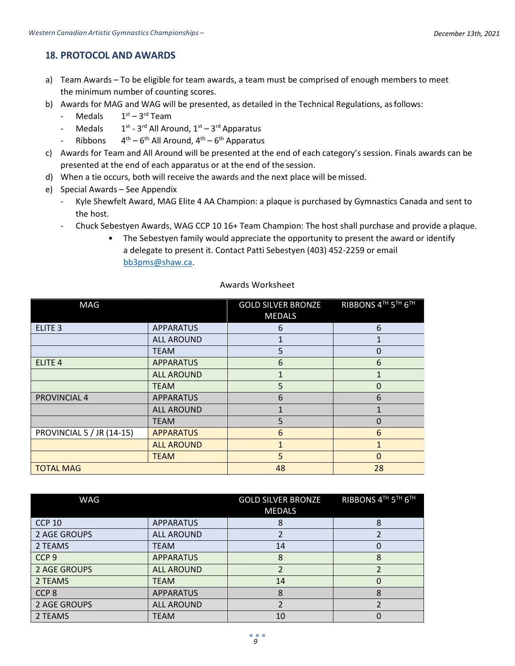### <span id="page-8-0"></span>**18. PROTOCOL AND AWARDS**

- a) Team Awards To be eligible for team awards, a team must be comprised of enough members to meet the minimum number of counting scores.
- b) Awards for MAG and WAG will be presented, as detailed in the Technical Regulations, asfollows:
	- **Medals** <sup>st</sup> – 3<sup>rd</sup> Team
	- **Medals** <sup>st</sup> - 3<sup>rd</sup> All Around, 1<sup>st</sup> – 3<sup>rd</sup> Apparatus
	- Ribbons <sup>th</sup> – 6<sup>th</sup> All Around, 4<sup>th</sup> – 6<sup>th</sup> Apparatus
- c) Awards for Team and All Around will be presented at the end of each category's session. Finals awards can be presented at the end of each apparatus or at the end of the session.
- d) When a tie occurs, both will receive the awards and the next place will bemissed.
- e) Special Awards See Appendix
	- Kyle Shewfelt Award, MAG Elite 4 AA Champion: a plaque is purchased by Gymnastics Canada and sent to the host.
	- Chuck Sebestyen Awards, WAG CCP 10 16+ Team Champion: The host shall purchase and provide a plaque.
		- The Sebestyen family would appreciate the opportunity to present the award or identify a delegate to present it. Contact Patti Sebestyen (403) 452-2259 or email [bb3pms@shaw.ca.](mailto:bb3pms@shaw.ca)

#### Awards Worksheet

| MAG                              |                   | <b>GOLD SILVER BRONZE</b><br><b>MEDALS</b> | RIBBONS 4TH 5TH 6TH |
|----------------------------------|-------------------|--------------------------------------------|---------------------|
| ELITE <sub>3</sub>               | <b>APPARATUS</b>  | 6                                          | 6                   |
|                                  | <b>ALL AROUND</b> |                                            |                     |
|                                  | <b>TEAM</b>       | 5                                          | 0                   |
| ELITE <sub>4</sub>               | <b>APPARATUS</b>  | 6                                          | 6                   |
|                                  | <b>ALL AROUND</b> |                                            | 1                   |
|                                  | <b>TEAM</b>       | 5                                          | 0                   |
| PROVINCIAL 4                     | <b>APPARATUS</b>  | 6                                          | 6                   |
|                                  | <b>ALL AROUND</b> | $\mathbf{1}$                               | 1                   |
|                                  | <b>TEAM</b>       | 5                                          | 0                   |
| <b>PROVINCIAL 5 / JR (14-15)</b> | <b>APPARATUS</b>  | 6                                          | 6                   |
|                                  | <b>ALL AROUND</b> | 1                                          | $\mathbf{1}$        |
|                                  | <b>TEAM</b>       | 5                                          | 0                   |
| <b>TOTAL MAG</b>                 |                   | 48                                         | 28                  |

| WAG              |                   | <b>GOLD SILVER BRONZE</b><br><b>MEDALS</b> | RIBBONS 4TH 5TH 6TH |
|------------------|-------------------|--------------------------------------------|---------------------|
| <b>CCP 10</b>    | <b>APPARATUS</b>  | 8                                          | 8                   |
| 2 AGE GROUPS     | <b>ALL AROUND</b> |                                            |                     |
| 2 TEAMS          | <b>TEAM</b>       | 14                                         |                     |
| CCP <sub>9</sub> | <b>APPARATUS</b>  | 8                                          | 8                   |
| 2 AGE GROUPS     | <b>ALL AROUND</b> | ำ                                          | $\mathcal{P}$       |
| 2 TEAMS          | <b>TEAM</b>       | 14                                         | 0                   |
| CCP <sub>8</sub> | <b>APPARATUS</b>  | ጸ                                          | 8                   |
| 2 AGE GROUPS     | <b>ALL AROUND</b> |                                            |                     |
| 2 TEAMS          | TEAM              | 10                                         |                     |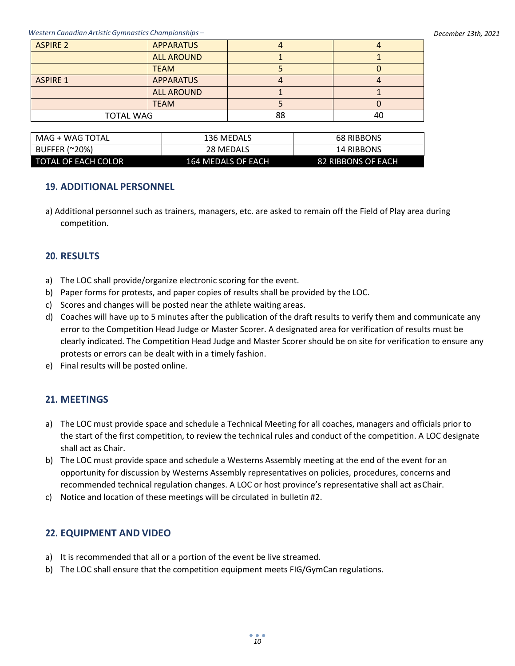| <b>ASPIRE 2</b>  | <b>APPARATUS</b>  |    |    |  |
|------------------|-------------------|----|----|--|
|                  | <b>ALL AROUND</b> |    |    |  |
|                  | <b>TEAM</b>       |    |    |  |
| <b>ASPIRE 1</b>  | <b>APPARATUS</b>  |    |    |  |
|                  | <b>ALL AROUND</b> |    |    |  |
|                  | <b>TEAM</b>       |    |    |  |
| <b>TOTAL WAG</b> |                   | 88 | 40 |  |
|                  |                   |    |    |  |

| MAG + WAG TOTAL     | 136 MEDALS         | <b>68 RIBBONS</b>  |  |
|---------------------|--------------------|--------------------|--|
| BUFFER (~20%)       | 28 MEDALS          | 14 RIBBONS         |  |
| TOTAL OF EACH COLOR | 164 MEDALS OF EACH | 82 RIBBONS OF EACH |  |

### <span id="page-9-0"></span>**19. ADDITIONAL PERSONNEL**

a) Additional personnel such as trainers, managers, etc. are asked to remain off the Field of Play area during competition.

### <span id="page-9-1"></span>**20. RESULTS**

- a) The LOC shall provide/organize electronic scoring for the event.
- b) Paper forms for protests, and paper copies of results shall be provided by the LOC.
- c) Scores and changes will be posted near the athlete waiting areas.
- d) Coaches will have up to 5 minutes after the publication of the draft results to verify them and communicate any error to the Competition Head Judge or Master Scorer. A designated area for verification of results must be clearly indicated. The Competition Head Judge and Master Scorer should be on site for verification to ensure any protests or errors can be dealt with in a timely fashion.
- e) Final results will be posted online.

### <span id="page-9-2"></span>**21. MEETINGS**

- a) The LOC must provide space and schedule a Technical Meeting for all coaches, managers and officials prior to the start of the first competition, to review the technical rules and conduct of the competition. A LOC designate shall act as Chair.
- b) The LOC must provide space and schedule a Westerns Assembly meeting at the end of the event for an opportunity for discussion by Westerns Assembly representatives on policies, procedures, concerns and recommended technical regulation changes. A LOC or host province's representative shall act asChair.
- c) Notice and location of these meetings will be circulated in bulletin #2.

### <span id="page-9-3"></span>**22. EQUIPMENT AND VIDEO**

- a) It is recommended that all or a portion of the event be live streamed.
- b) The LOC shall ensure that the competition equipment meets FIG/GymCan regulations.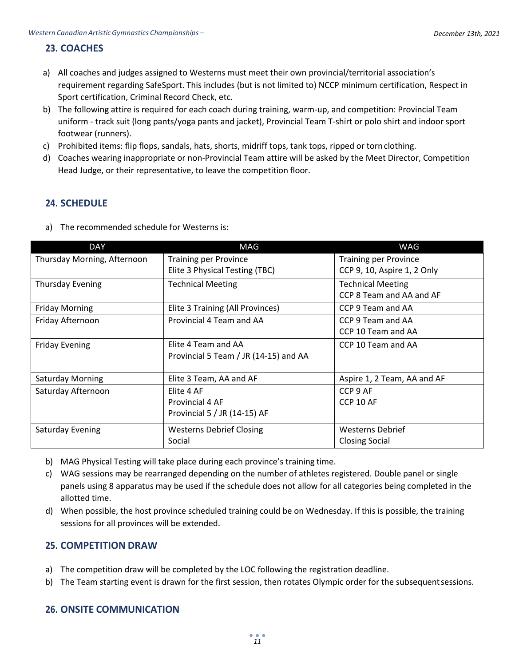# <span id="page-10-0"></span>*Policy Manual and Technical Regulations* **23. COACHES**

- a) All coaches and judges assigned to Westerns must meet their own provincial/territorial association's requirement regarding SafeSport. This includes (but is not limited to) NCCP minimum certification, Respect in Sport certification, Criminal Record Check, etc.
- b) The following attire is required for each coach during training, warm-up, and competition: Provincial Team uniform - track suit (long pants/yoga pants and jacket), Provincial Team T-shirt or polo shirt and indoor sport footwear (runners).
- c) Prohibited items: flip flops, sandals, hats, shorts, midriff tops, tank tops, ripped or tornclothing.
- d) Coaches wearing inappropriate or non-Provincial Team attire will be asked by the Meet Director, Competition Head Judge, or their representative, to leave the competition floor.

### <span id="page-10-1"></span>**24. SCHEDULE**

| a) The recommended schedule for Westerns is: |
|----------------------------------------------|
|----------------------------------------------|

| <b>DAY</b>                  | MAG                                   | WAG                          |
|-----------------------------|---------------------------------------|------------------------------|
| Thursday Morning, Afternoon | <b>Training per Province</b>          | <b>Training per Province</b> |
|                             | Elite 3 Physical Testing (TBC)        | CCP 9, 10, Aspire 1, 2 Only  |
| <b>Thursday Evening</b>     | <b>Technical Meeting</b>              | <b>Technical Meeting</b>     |
|                             |                                       | CCP 8 Team and AA and AF     |
| <b>Friday Morning</b>       | Elite 3 Training (All Provinces)      | CCP 9 Team and AA            |
| Friday Afternoon            | Provincial 4 Team and AA              | CCP 9 Team and AA            |
|                             |                                       | CCP 10 Team and AA           |
| <b>Friday Evening</b>       | Elite 4 Team and AA                   | CCP 10 Team and AA           |
|                             | Provincial 5 Team / JR (14-15) and AA |                              |
|                             |                                       |                              |
| <b>Saturday Morning</b>     | Elite 3 Team, AA and AF               | Aspire 1, 2 Team, AA and AF  |
| Saturday Afternoon          | Elite 4 AF                            | CCP 9 AF                     |
|                             | Provincial 4 AF                       | <b>CCP 10 AF</b>             |
|                             | Provincial 5 / JR (14-15) AF          |                              |
| <b>Saturday Evening</b>     | <b>Westerns Debrief Closing</b>       | <b>Westerns Debrief</b>      |
|                             | Social                                | <b>Closing Social</b>        |

- b) MAG Physical Testing will take place during each province's training time.
- c) WAG sessions may be rearranged depending on the number of athletes registered. Double panel or single panels using 8 apparatus may be used if the schedule does not allow for all categories being completed in the allotted time.
- d) When possible, the host province scheduled training could be on Wednesday. If this is possible, the training sessions for all provinces will be extended.

### <span id="page-10-2"></span>**25. COMPETITION DRAW**

- a) The competition draw will be completed by the LOC following the registration deadline.
- b) The Team starting event is drawn for the first session, then rotates Olympic order for the subsequent sessions.

### <span id="page-10-3"></span>**26. ONSITE COMMUNICATION**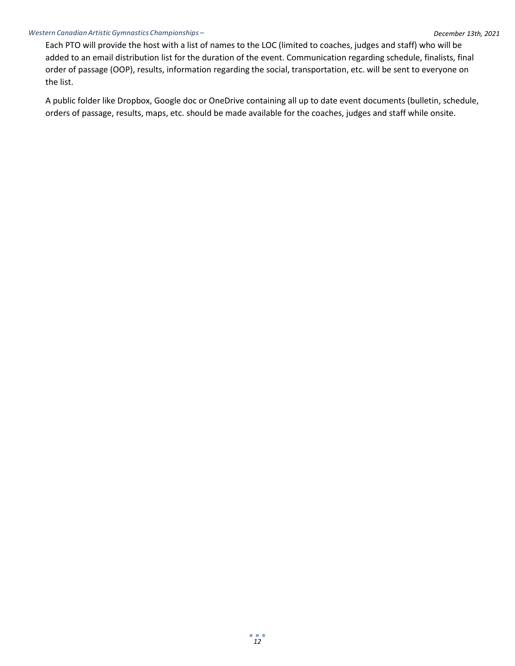#### *Western Canadian ArtisticGymnastics Championships –*

Each PTO will provide the host with a list of names to the LOC (limited to coaches, judges and staff) who will be added to an email distribution list for the duration of the event. Communication regarding schedule, finalists, final order of passage (OOP), results, information regarding the social, transportation, etc. will be sent to everyone on the list.

A public folder like Dropbox, Google doc or OneDrive containing all up to date event documents (bulletin, schedule, orders of passage, results, maps, etc. should be made available for the coaches, judges and staff while onsite.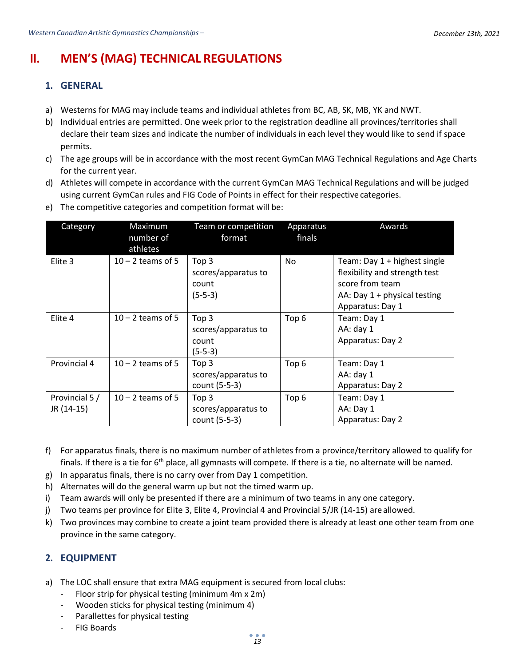# <span id="page-12-1"></span><span id="page-12-0"></span>**II. MEN'S (MAG) TECHNICAL REGULATIONS**

### **1. GENERAL**

- a) Westerns for MAG may include teams and individual athletes from BC, AB, SK, MB, YK and NWT.
- b) Individual entries are permitted. One week prior to the registration deadline all provinces/territories shall declare their team sizes and indicate the number of individuals in each level they would like to send if space permits.
- c) The age groups will be in accordance with the most recent GymCan MAG Technical Regulations and Age Charts for the current year.
- d) Athletes will compete in accordance with the current GymCan MAG Technical Regulations and will be judged using current GymCan rules and FIG Code of Points in effect for their respective categories.

| Category                     | Maximum<br>number of<br>athletes | Team or competition<br>format                                 | Apparatus<br>finals | Awards                                                                                                                                 |
|------------------------------|----------------------------------|---------------------------------------------------------------|---------------------|----------------------------------------------------------------------------------------------------------------------------------------|
| Elite 3                      | $10 - 2$ teams of 5              | Top <sub>3</sub><br>scores/apparatus to<br>count<br>$(5-5-3)$ | <b>No</b>           | Team: Day 1 + highest single<br>flexibility and strength test<br>score from team<br>AA: Day $1 +$ physical testing<br>Apparatus: Day 1 |
| Elite 4                      | $10 - 2$ teams of 5              | Top <sub>3</sub><br>scores/apparatus to<br>count<br>$(5-5-3)$ | Top <sub>6</sub>    | Team: Day 1<br>AA: day 1<br>Apparatus: Day 2                                                                                           |
| Provincial 4                 | $10 - 2$ teams of 5              | Top <sub>3</sub><br>scores/apparatus to<br>count (5-5-3)      | Top <sub>6</sub>    | Team: Day 1<br>AA: day 1<br>Apparatus: Day 2                                                                                           |
| Provincial 5 /<br>JR (14-15) | $10 - 2$ teams of 5              | Top 3<br>scores/apparatus to<br>count (5-5-3)                 | Top <sub>6</sub>    | Team: Day 1<br>AA: Day 1<br>Apparatus: Day 2                                                                                           |

e) The competitive categories and competition format will be:

- f) For apparatus finals, there is no maximum number of athletes from a province/territory allowed to qualify for finals. If there is a tie for  $6<sup>th</sup>$  place, all gymnasts will compete. If there is a tie, no alternate will be named.
- g) In apparatus finals, there is no carry over from Day 1 competition.
- h) Alternates will do the general warm up but not the timed warm up.
- i) Team awards will only be presented if there are a minimum of two teams in any one category.
- j) Two teams per province for Elite 3, Elite 4, Provincial 4 and Provincial 5/JR (14-15) are allowed.
- k) Two provinces may combine to create a joint team provided there is already at least one other team from one province in the same category.

### <span id="page-12-2"></span>**2. EQUIPMENT**

- a) The LOC shall ensure that extra MAG equipment is secured from local clubs:
	- Floor strip for physical testing (minimum 4m x 2m)
	- Wooden sticks for physical testing (minimum 4)
	- Parallettes for physical testing
	- **FIG Boards**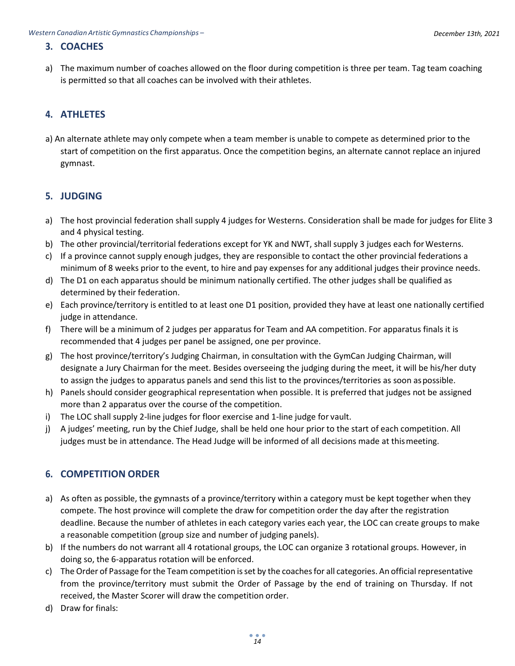# <span id="page-13-0"></span>*Policy Manual and Technical Regulations* **3. COACHES**

a) The maximum number of coaches allowed on the floor during competition is three per team. Tag team coaching is permitted so that all coaches can be involved with their athletes.

### <span id="page-13-1"></span>**4. ATHLETES**

a) An alternate athlete may only compete when a team member is unable to compete as determined prior to the start of competition on the first apparatus. Once the competition begins, an alternate cannot replace an injured gymnast.

### <span id="page-13-2"></span>**5. JUDGING**

- a) The host provincial federation shall supply 4 judges for Westerns. Consideration shall be made for judges for Elite 3 and 4 physical testing.
- b) The other provincial/territorial federations except for YK and NWT, shall supply 3 judges each forWesterns.
- c) If a province cannot supply enough judges, they are responsible to contact the other provincial federations a minimum of 8 weeks prior to the event, to hire and pay expenses for any additional judges their province needs.
- d) The D1 on each apparatus should be minimum nationally certified. The other judges shall be qualified as determined by their federation.
- e) Each province/territory is entitled to at least one D1 position, provided they have at least one nationally certified judge in attendance.
- f) There will be a minimum of 2 judges per apparatus for Team and AA competition. For apparatus finals it is recommended that 4 judges per panel be assigned, one per province.
- g) The host province/territory's Judging Chairman, in consultation with the GymCan Judging Chairman, will designate a Jury Chairman for the meet. Besides overseeing the judging during the meet, it will be his/her duty to assign the judges to apparatus panels and send this list to the provinces/territories as soon aspossible.
- h) Panels should consider geographical representation when possible. It is preferred that judges not be assigned more than 2 apparatus over the course of the competition.
- i) The LOC shall supply 2-line judges for floor exercise and 1-line judge for vault.
- j) A judges' meeting, run by the Chief Judge, shall be held one hour prior to the start of each competition. All judges must be in attendance. The Head Judge will be informed of all decisions made at thismeeting.

### <span id="page-13-3"></span>**6. COMPETITION ORDER**

- a) As often as possible, the gymnasts of a province/territory within a category must be kept together when they compete. The host province will complete the draw for competition order the day after the registration deadline. Because the number of athletes in each category varies each year, the LOC can create groups to make a reasonable competition (group size and number of judging panels).
- b) If the numbers do not warrant all 4 rotational groups, the LOC can organize 3 rotational groups. However, in doing so, the 6-apparatus rotation will be enforced.
- c) The Order of Passage for the Team competition is set by the coaches for all categories. An official representative from the province/territory must submit the Order of Passage by the end of training on Thursday. If not received, the Master Scorer will draw the competition order.
- d) Draw for finals: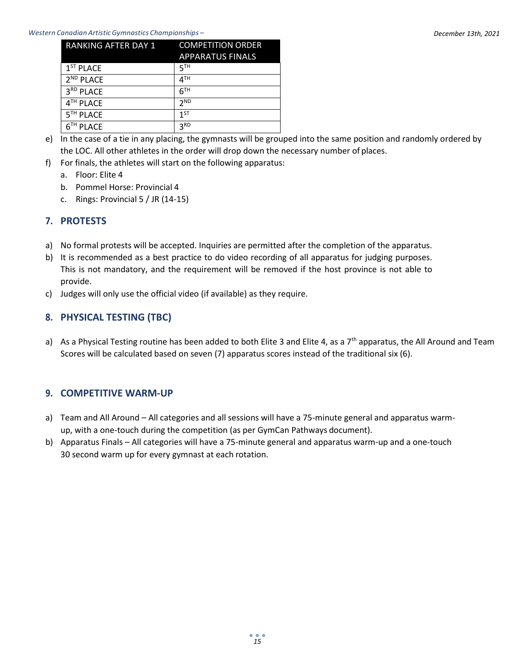#### *Western Canadian ArtisticGymnastics Championships –*

| RANKING AFTER DAY 1   | <b>COMPETITION ORDER</b> |
|-----------------------|--------------------------|
|                       | <b>APPARATUS FINALS</b>  |
| $1ST$ PLACE           | ςтн                      |
| $2ND$ PLACE           | 4TH                      |
| 3RD PLACE             | 6 <sup>TH</sup>          |
| 4 <sup>TH</sup> PLACE | 2 <sub>ND</sub>          |
| 5 <sup>TH</sup> PLACE | 1 <sub>ST</sub>          |
| 6 <sup>TH</sup> PLACE | 3 <sub>RD</sub>          |

- e) In the case of a tie in any placing, the gymnasts will be grouped into the same position and randomly ordered by the LOC. All other athletes in the order will drop down the necessary number of places.
- f) For finals, the athletes will start on the following apparatus:
	- a. Floor: Elite 4
	- b. Pommel Horse: Provincial 4
	- c. Rings: Provincial  $5 / JR$  (14-15)

### <span id="page-14-0"></span>**7. PROTESTS**

- a) No formal protests will be accepted. Inquiries are permitted after the completion of the apparatus.
- b) It is recommended as a best practice to do video recording of all apparatus for judging purposes. This is not mandatory, and the requirement will be removed if the host province is not able to provide.
- c) Judges will only use the official video (if available) as they require.

### <span id="page-14-1"></span>**8. PHYSICAL TESTING (TBC)**

a) As a Physical Testing routine has been added to both Elite 3 and Elite 4, as a 7<sup>th</sup> apparatus, the All Around and Team Scores will be calculated based on seven (7) apparatus scores instead of the traditional six (6).

### <span id="page-14-2"></span>**9. COMPETITIVE WARM-UP**

- a) Team and All Around All categories and all sessions will have a 75-minute general and apparatus warmup, with a one-touch during the competition (as per GymCan Pathways document).
- b) Apparatus Finals All categories will have a 75-minute general and apparatus warm-up and a one-touch 30 second warm up for every gymnast at each rotation.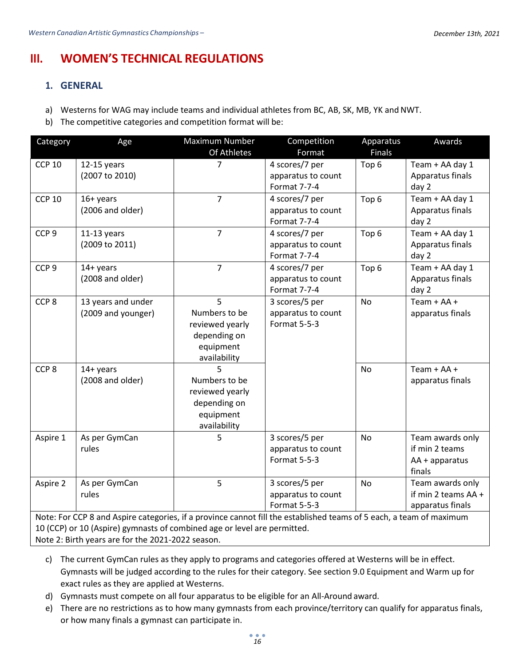# <span id="page-15-1"></span><span id="page-15-0"></span>**III. WOMEN'S TECHNICAL REGULATIONS**

### **1. GENERAL**

- a) Westerns for WAG may include teams and individual athletes from BC, AB, SK, MB, YK and NWT.
- b) The competitive categories and competition format will be:

| Category         | Age                                                                                                                 | Maximum Number  | Competition         | Apparatus        | Awards              |
|------------------|---------------------------------------------------------------------------------------------------------------------|-----------------|---------------------|------------------|---------------------|
|                  |                                                                                                                     | Of Athletes     | Format              | <b>Finals</b>    |                     |
| <b>CCP 10</b>    | $12-15$ years                                                                                                       | $\overline{7}$  | 4 scores/7 per      | Top 6            | Team + AA day 1     |
|                  | (2007 to 2010)                                                                                                      |                 | apparatus to count  |                  | Apparatus finals    |
|                  |                                                                                                                     |                 | Format 7-7-4        |                  | day 2               |
| <b>CCP 10</b>    | $16+$ years                                                                                                         | $\overline{7}$  | 4 scores/7 per      | Top 6            | Team + AA day 1     |
|                  | (2006 and older)                                                                                                    |                 | apparatus to count  |                  | Apparatus finals    |
|                  |                                                                                                                     |                 | Format 7-7-4        |                  | day 2               |
| CCP <sub>9</sub> | $11-13$ years                                                                                                       | $\overline{7}$  | 4 scores/7 per      | Top <sub>6</sub> | Team + AA day 1     |
|                  | (2009 to 2011)                                                                                                      |                 | apparatus to count  |                  | Apparatus finals    |
|                  |                                                                                                                     |                 | Format 7-7-4        |                  | day 2               |
| CCP <sub>9</sub> | 14+ years                                                                                                           | $\overline{7}$  | 4 scores/7 per      | Top 6            | Team + AA day 1     |
|                  | (2008 and older)                                                                                                    |                 | apparatus to count  |                  | Apparatus finals    |
|                  |                                                                                                                     |                 | Format 7-7-4        |                  | day 2               |
| CCP <sub>8</sub> | 13 years and under                                                                                                  | 5               | 3 scores/5 per      | <b>No</b>        | Team $+$ AA $+$     |
|                  | (2009 and younger)                                                                                                  | Numbers to be   | apparatus to count  |                  | apparatus finals    |
|                  |                                                                                                                     | reviewed yearly | <b>Format 5-5-3</b> |                  |                     |
|                  |                                                                                                                     | depending on    |                     |                  |                     |
|                  |                                                                                                                     | equipment       |                     |                  |                     |
|                  |                                                                                                                     | availability    |                     |                  |                     |
| CCP <sub>8</sub> | $14 + years$                                                                                                        |                 |                     | <b>No</b>        | Team $+$ AA $+$     |
|                  | (2008 and older)                                                                                                    | Numbers to be   |                     |                  | apparatus finals    |
|                  |                                                                                                                     | reviewed yearly |                     |                  |                     |
|                  |                                                                                                                     | depending on    |                     |                  |                     |
|                  |                                                                                                                     | equipment       |                     |                  |                     |
|                  |                                                                                                                     | availability    |                     |                  |                     |
| Aspire 1         | As per GymCan                                                                                                       | 5               | 3 scores/5 per      | <b>No</b>        | Team awards only    |
|                  | rules                                                                                                               |                 | apparatus to count  |                  | if min 2 teams      |
|                  |                                                                                                                     |                 | Format 5-5-3        |                  | $AA + apparatus$    |
|                  |                                                                                                                     |                 |                     |                  | finals              |
| Aspire 2         | As per GymCan                                                                                                       | 5               | 3 scores/5 per      | <b>No</b>        | Team awards only    |
|                  | rules                                                                                                               |                 | apparatus to count  |                  | if min 2 teams AA + |
|                  |                                                                                                                     |                 | Format 5-5-3        |                  | apparatus finals    |
|                  | Note: For CCP 8 and Aspire categories, if a province cannot fill the established teams of 5 each, a team of maximum |                 |                     |                  |                     |
|                  | 10 (CCP) or 10 (Aspire) gymnasts of combined age or level are permitted.                                            |                 |                     |                  |                     |

Note 2: Birth years are for the 2021-2022 season.

- c) The current GymCan rules as they apply to programs and categories offered at Westerns will be in effect. Gymnasts will be judged according to the rules for their category. See section 9.0 Equipment and Warm up for exact rules as they are applied at Westerns.
- d) Gymnasts must compete on all four apparatus to be eligible for an All-Around award.
- e) There are no restrictions as to how many gymnasts from each province/territory can qualify for apparatus finals, or how many finals a gymnast can participate in.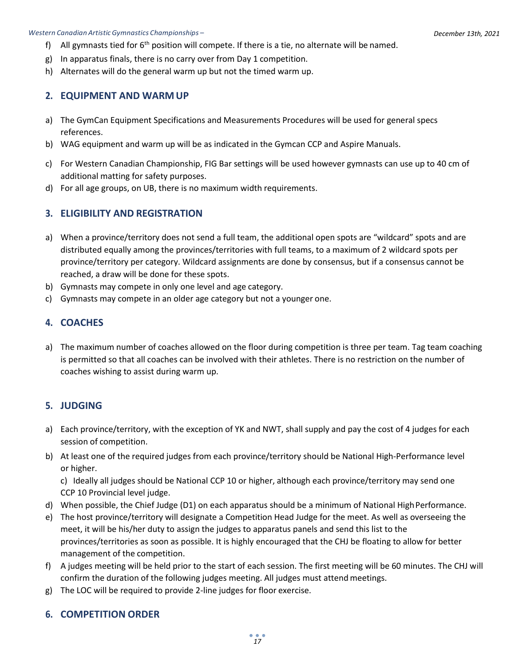- *Policy Manual and Technical Regulations* f) All gymnasts tied for 6th position will compete. If there is a tie, no alternate will be named.
	- g) In apparatus finals, there is no carry over from Day 1 competition.
	- h) Alternates will do the general warm up but not the timed warm up.

### <span id="page-16-0"></span>**2. EQUIPMENT AND WARM UP**

- a) The GymCan Equipment Specifications and Measurements Procedures will be used for general specs references.
- b) WAG equipment and warm up will be as indicated in the Gymcan CCP and Aspire Manuals.
- c) For Western Canadian Championship, FIG Bar settings will be used however gymnasts can use up to 40 cm of additional matting for safety purposes.
- d) For all age groups, on UB, there is no maximum width requirements.

### <span id="page-16-1"></span>**3. ELIGIBILITY AND REGISTRATION**

- a) When a province/territory does not send a full team, the additional open spots are "wildcard" spots and are distributed equally among the provinces/territories with full teams, to a maximum of 2 wildcard spots per province/territory per category. Wildcard assignments are done by consensus, but if a consensus cannot be reached, a draw will be done for these spots.
- b) Gymnasts may compete in only one level and age category.
- c) Gymnasts may compete in an older age category but not a younger one.

### <span id="page-16-2"></span>**4. COACHES**

a) The maximum number of coaches allowed on the floor during competition is three per team. Tag team coaching is permitted so that all coaches can be involved with their athletes. There is no restriction on the number of coaches wishing to assist during warm up.

### <span id="page-16-3"></span>**5. JUDGING**

- a) Each province/territory, with the exception of YK and NWT, shall supply and pay the cost of 4 judges for each session of competition.
- b) At least one of the required judges from each province/territory should be National High-Performance level or higher.

c) Ideally all judges should be National CCP 10 or higher, although each province/territory may send one CCP 10 Provincial level judge.

- d) When possible, the Chief Judge (D1) on each apparatus should be a minimum of National High Performance.
- e) The host province/territory will designate a Competition Head Judge for the meet. As well as overseeing the meet, it will be his/her duty to assign the judges to apparatus panels and send this list to the provinces/territories as soon as possible. It is highly encouraged that the CHJ be floating to allow for better management of the competition.
- f) A judges meeting will be held prior to the start of each session. The first meeting will be 60 minutes. The CHJ will confirm the duration of the following judges meeting. All judges must attendmeetings.
- g) The LOC will be required to provide 2-line judges for floor exercise.

### <span id="page-16-4"></span>**6. COMPETITION ORDER**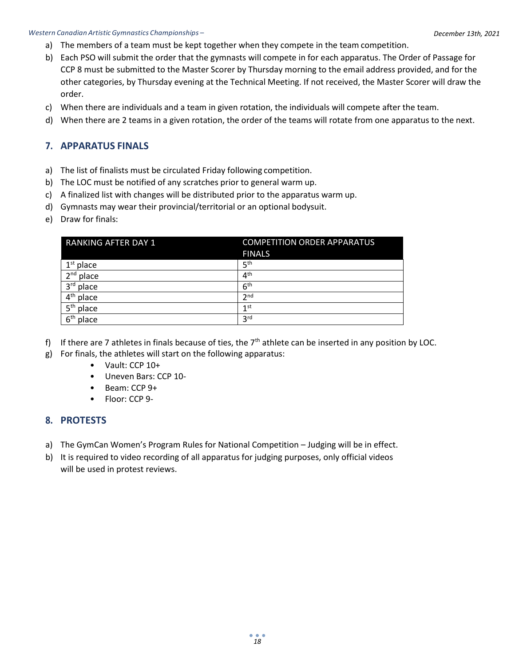- *Policy Manual and Technical Regulations* a) The members of a team must be kept together when they compete in the team competition.
	- b) Each PSO will submit the order that the gymnasts will compete in for each apparatus. The Order of Passage for CCP 8 must be submitted to the Master Scorer by Thursday morning to the email address provided, and for the other categories, by Thursday evening at the Technical Meeting. If not received, the Master Scorer will draw the order.
	- c) When there are individuals and a team in given rotation, the individuals will compete after the team.
	- d) When there are 2 teams in a given rotation, the order of the teams will rotate from one apparatus to the next.

### <span id="page-17-0"></span>**7. APPARATUS FINALS**

- a) The list of finalists must be circulated Friday following competition.
- b) The LOC must be notified of any scratches prior to general warm up.
- c) A finalized list with changes will be distributed prior to the apparatus warm up.
- d) Gymnasts may wear their provincial/territorial or an optional bodysuit.
- e) Draw for finals:

| <b>RANKING AFTER DAY 1</b> | <b>COMPETITION ORDER APPARATUS</b> |
|----------------------------|------------------------------------|
|                            | <b>FINALS</b>                      |
| $1st$ place                | 5 <sup>th</sup>                    |
| $2nd$ place                | 4 <sup>th</sup>                    |
| 3rd place                  | 6 <sup>th</sup>                    |
| $4th$ place                | 2 <sub>nd</sub>                    |
| 5 <sup>th</sup> place      | 1 <sub>st</sub>                    |
| 6 <sup>th</sup><br>place   | 3 <sup>rd</sup>                    |

- f) If there are 7 athletes in finals because of ties, the  $7<sup>th</sup>$  athlete can be inserted in any position by LOC.
- g) For finals, the athletes will start on the following apparatus:
	- Vault: CCP 10+
	- Uneven Bars: CCP 10-
	- Beam: CCP 9+
	- Floor: CCP 9-

#### <span id="page-17-1"></span>**8. PROTESTS**

- a) The GymCan Women's Program Rules for National Competition Judging will be in effect.
- b) It is required to video recording of all apparatus for judging purposes, only official videos will be used in protest reviews.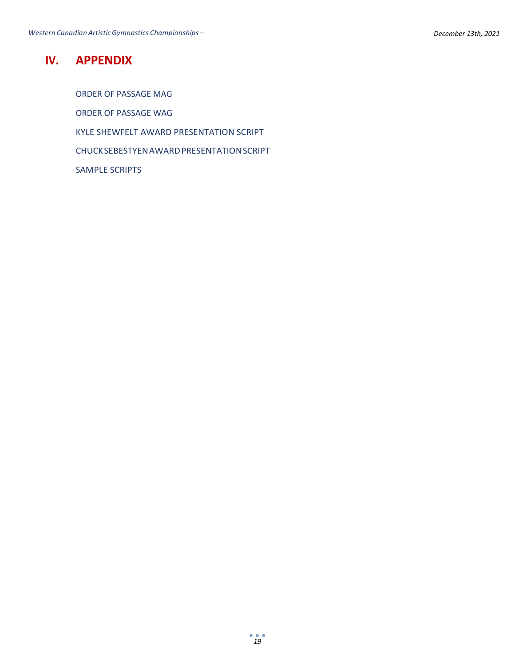## <span id="page-18-0"></span>**IV. APPENDIX**

ORDER OF PASSAGE MAG ORDER OF PASSAGE WAG KYLE SHEWFELT AWARD PRESENTATION SCRIPT CHUCKSEBESTYENAWARDPRESENTATIONSCRIPT SAMPLE SCRIPTS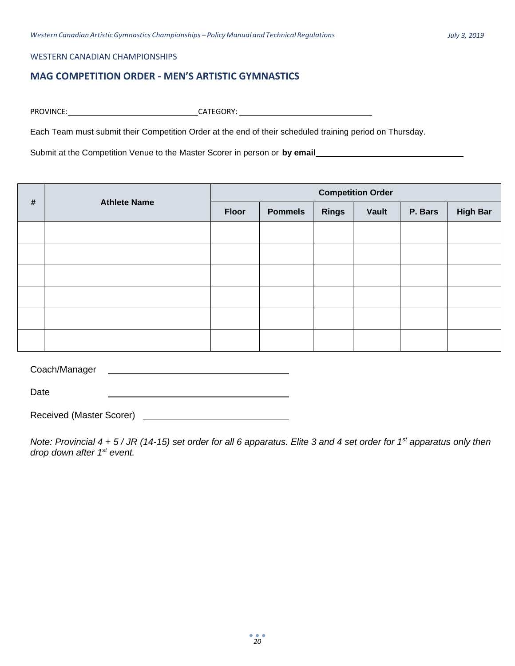#### WESTERN CANADIAN CHAMPIONSHIPS

### <span id="page-19-0"></span>**MAG COMPETITION ORDER - MEN'S ARTISTIC GYMNASTICS**

PROVINCE: CATEGORY:

Each Team must submit their Competition Order at the end of their scheduled training period on Thursday.

Submit at the Competition Venue to the Master Scorer in person or **by email**

|      |                     |              |                |              | <b>Competition Order</b> |         |                 |
|------|---------------------|--------------|----------------|--------------|--------------------------|---------|-----------------|
| $\#$ | <b>Athlete Name</b> | <b>Floor</b> | <b>Pommels</b> | <b>Rings</b> | Vault                    | P. Bars | <b>High Bar</b> |
|      |                     |              |                |              |                          |         |                 |
|      |                     |              |                |              |                          |         |                 |
|      |                     |              |                |              |                          |         |                 |
|      |                     |              |                |              |                          |         |                 |
|      |                     |              |                |              |                          |         |                 |
|      |                     |              |                |              |                          |         |                 |

Coach/Manager

Date

Received (Master Scorer)

*Note: Provincial 4 + 5 / JR (14-15) set order for all 6 apparatus. Elite 3 and 4 set order for 1st apparatus only then drop down after 1st event.*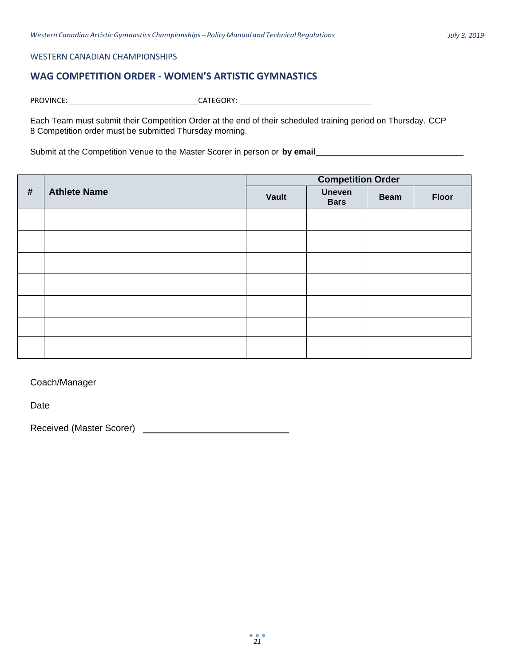#### WESTERN CANADIAN CHAMPIONSHIPS

### <span id="page-20-0"></span>**WAG COMPETITION ORDER - WOMEN'S ARTISTIC GYMNASTICS**

PROVINCE: CATEGORY:

Each Team must submit their Competition Order at the end of their scheduled training period on Thursday. CCP 8 Competition order must be submitted Thursday morning.

Submit at the Competition Venue to the Master Scorer in person or **by email**

|            |                     |       | <b>Competition Order</b>     |             |              |
|------------|---------------------|-------|------------------------------|-------------|--------------|
| $\pmb{\#}$ | <b>Athlete Name</b> | Vault | <b>Uneven</b><br><b>Bars</b> | <b>Beam</b> | <b>Floor</b> |
|            |                     |       |                              |             |              |
|            |                     |       |                              |             |              |
|            |                     |       |                              |             |              |
|            |                     |       |                              |             |              |
|            |                     |       |                              |             |              |
|            |                     |       |                              |             |              |
|            |                     |       |                              |             |              |

Coach/Manager

Date

Received (Master Scorer)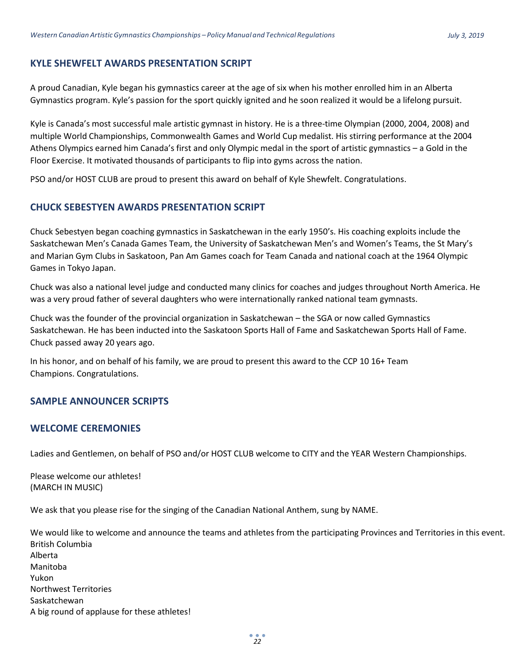#### <span id="page-21-0"></span>**KYLE SHEWFELT AWARDS PRESENTATION SCRIPT**

A proud Canadian, Kyle began his gymnastics career at the age of six when his mother enrolled him in an Alberta Gymnastics program. Kyle's passion for the sport quickly ignited and he soon realized it would be a lifelong pursuit.

Kyle is Canada's most successful male artistic gymnast in history. He is a three-time Olympian (2000, 2004, 2008) and multiple World Championships, Commonwealth Games and World Cup medalist. His stirring performance at the 2004 Athens Olympics earned him Canada's first and only Olympic medal in the sport of artistic gymnastics – a Gold in the Floor Exercise. It motivated thousands of participants to flip into gyms across the nation.

PSO and/or HOST CLUB are proud to present this award on behalf of Kyle Shewfelt. Congratulations.

#### <span id="page-21-1"></span>**CHUCK SEBESTYEN AWARDS PRESENTATION SCRIPT**

Chuck Sebestyen began coaching gymnastics in Saskatchewan in the early 1950's. His coaching exploits include the Saskatchewan Men's Canada Games Team, the University of Saskatchewan Men's and Women's Teams, the St Mary's and Marian Gym Clubs in Saskatoon, Pan Am Games coach for Team Canada and national coach at the 1964 Olympic Games in Tokyo Japan.

Chuck was also a national level judge and conducted many clinics for coaches and judges throughout North America. He was a very proud father of several daughters who were internationally ranked national team gymnasts.

Chuck was the founder of the provincial organization in Saskatchewan – the SGA or now called Gymnastics Saskatchewan. He has been inducted into the Saskatoon Sports Hall of Fame and Saskatchewan Sports Hall of Fame. Chuck passed away 20 years ago.

In his honor, and on behalf of his family, we are proud to present this award to the CCP 10 16+ Team Champions. Congratulations.

### <span id="page-21-2"></span>**SAMPLE ANNOUNCER SCRIPTS**

#### <span id="page-21-3"></span>**WELCOME CEREMONIES**

Ladies and Gentlemen, on behalf of PSO and/or HOST CLUB welcome to CITY and the YEAR Western Championships.

Please welcome our athletes! (MARCH IN MUSIC)

We ask that you please rise for the singing of the Canadian National Anthem, sung by NAME.

We would like to welcome and announce the teams and athletes from the participating Provinces and Territories in this event. British Columbia Alberta Manitoba Yukon Northwest Territories Saskatchewan A big round of applause for these athletes!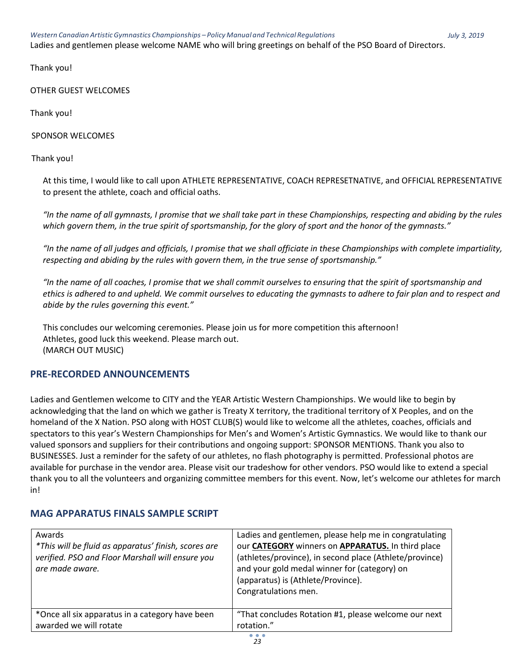Ladies and gentlemen please welcome NAME who will bring greetings on behalf of the PSO Board of Directors.

Thank you!

OTHER GUEST WELCOMES

Thank you!

SPONSOR WELCOMES

Thank you!

At this time, I would like to call upon ATHLETE REPRESENTATIVE, COACH REPRESETNATIVE, and OFFICIAL REPRESENTATIVE to present the athlete, coach and official oaths.

*"In the name of all gymnasts, I promise that we shall take part in these Championships, respecting and abiding by the rules which govern them, in the true spirit of sportsmanship, for the glory of sport and the honor of the gymnasts."*

*"In the name of all judges and officials, I promise that we shall officiate in these Championships with complete impartiality, respecting and abiding by the rules with govern them, in the true sense of sportsmanship."*

*"In the name of all coaches, I promise that we shall commit ourselves to ensuring that the spirit of sportsmanship and ethics is adhered to and upheld. We commit ourselves to educating the gymnasts to adhere to fair plan and to respect and abide by the rules governing this event."*

This concludes our welcoming ceremonies. Please join us for more competition this afternoon! Athletes, good luck this weekend. Please march out. (MARCH OUT MUSIC)

### <span id="page-22-0"></span>**PRE-RECORDED ANNOUNCEMENTS**

Ladies and Gentlemen welcome to CITY and the YEAR Artistic Western Championships. We would like to begin by acknowledging that the land on which we gather is Treaty X territory, the traditional territory of X Peoples, and on the homeland of the X Nation. PSO along with HOST CLUB(S) would like to welcome all the athletes, coaches, officials and spectators to this year's Western Championships for Men's and Women's Artistic Gymnastics. We would like to thank our valued sponsors and suppliers for their contributions and ongoing support: SPONSOR MENTIONS. Thank you also to BUSINESSES. Just a reminder for the safety of our athletes, no flash photography is permitted. Professional photos are available for purchase in the vendor area. Please visit our tradeshow for other vendors. PSO would like to extend a special thank you to all the volunteers and organizing committee members for this event. Now, let's welcome our athletes for march in!

### <span id="page-22-1"></span>**MAG APPARATUS FINALS SAMPLE SCRIPT**

| Awards<br>*This will be fluid as apparatus' finish, scores are<br>verified. PSO and Floor Marshall will ensure you<br>are made aware. | Ladies and gentlemen, please help me in congratulating<br>our CATEGORY winners on APPARATUS. In third place<br>(athletes/province), in second place (Athlete/province)<br>and your gold medal winner for (category) on<br>(apparatus) is (Athlete/Province).<br>Congratulations men. |
|---------------------------------------------------------------------------------------------------------------------------------------|--------------------------------------------------------------------------------------------------------------------------------------------------------------------------------------------------------------------------------------------------------------------------------------|
| *Once all six apparatus in a category have been<br>awarded we will rotate                                                             | "That concludes Rotation #1, please welcome our next<br>rotation."                                                                                                                                                                                                                   |
|                                                                                                                                       |                                                                                                                                                                                                                                                                                      |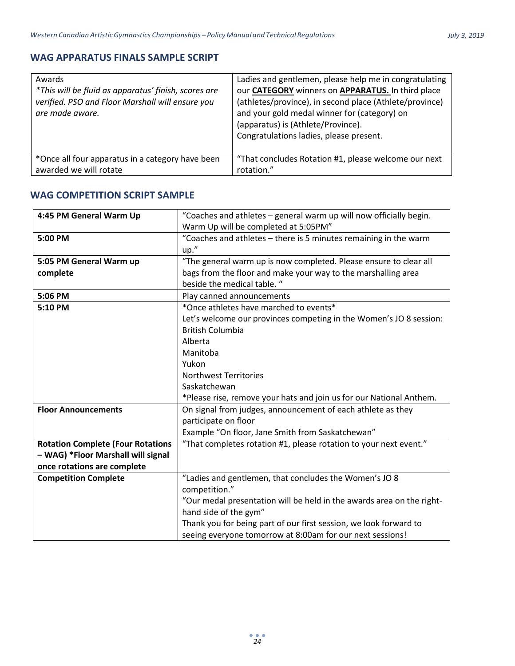### <span id="page-23-0"></span>**WAG APPARATUS FINALS SAMPLE SCRIPT**

| Awards<br>*This will be fluid as apparatus' finish, scores are<br>verified. PSO and Floor Marshall will ensure you<br>are made aware. | Ladies and gentlemen, please help me in congratulating<br>our CATEGORY winners on APPARATUS. In third place<br>(athletes/province), in second place (Athlete/province)<br>and your gold medal winner for (category) on<br>(apparatus) is (Athlete/Province).<br>Congratulations ladies, please present. |
|---------------------------------------------------------------------------------------------------------------------------------------|---------------------------------------------------------------------------------------------------------------------------------------------------------------------------------------------------------------------------------------------------------------------------------------------------------|
| *Once all four apparatus in a category have been                                                                                      | "That concludes Rotation #1, please welcome our next                                                                                                                                                                                                                                                    |
| awarded we will rotate                                                                                                                | rotation."                                                                                                                                                                                                                                                                                              |

### <span id="page-23-1"></span>**WAG COMPETITION SCRIPT SAMPLE**

| 4:45 PM General Warm Up                  | "Coaches and athletes - general warm up will now officially begin.    |
|------------------------------------------|-----------------------------------------------------------------------|
|                                          | Warm Up will be completed at 5:05PM"                                  |
| 5:00 PM                                  | "Coaches and athletes - there is 5 minutes remaining in the warm      |
|                                          | up."                                                                  |
| 5:05 PM General Warm up                  | "The general warm up is now completed. Please ensure to clear all     |
| complete                                 | bags from the floor and make your way to the marshalling area         |
|                                          | beside the medical table. "                                           |
| 5:06 PM                                  | Play canned announcements                                             |
| 5:10 PM                                  | *Once athletes have marched to events*                                |
|                                          | Let's welcome our provinces competing in the Women's JO 8 session:    |
|                                          | <b>British Columbia</b>                                               |
|                                          | Alberta                                                               |
|                                          | Manitoba                                                              |
|                                          | Yukon                                                                 |
|                                          | <b>Northwest Territories</b>                                          |
|                                          | Saskatchewan                                                          |
|                                          | *Please rise, remove your hats and join us for our National Anthem.   |
| <b>Floor Announcements</b>               | On signal from judges, announcement of each athlete as they           |
|                                          | participate on floor                                                  |
|                                          | Example "On floor, Jane Smith from Saskatchewan"                      |
| <b>Rotation Complete (Four Rotations</b> | "That completes rotation #1, please rotation to your next event."     |
| - WAG) *Floor Marshall will signal       |                                                                       |
| once rotations are complete              |                                                                       |
| <b>Competition Complete</b>              | "Ladies and gentlemen, that concludes the Women's JO 8                |
|                                          | competition."                                                         |
|                                          | "Our medal presentation will be held in the awards area on the right- |
|                                          | hand side of the gym"                                                 |
|                                          | Thank you for being part of our first session, we look forward to     |
|                                          | seeing everyone tomorrow at 8:00am for our next sessions!             |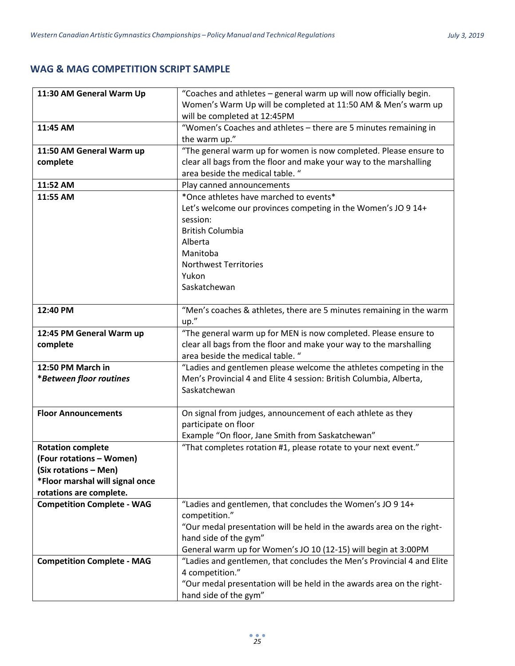### <span id="page-24-0"></span>**WAG & MAG COMPETITION SCRIPT SAMPLE**

| 11:30 AM General Warm Up          | "Coaches and athletes - general warm up will now officially begin.     |
|-----------------------------------|------------------------------------------------------------------------|
|                                   | Women's Warm Up will be completed at 11:50 AM & Men's warm up          |
|                                   | will be completed at 12:45PM                                           |
| 11:45 AM                          | "Women's Coaches and athletes - there are 5 minutes remaining in       |
|                                   | the warm up."                                                          |
| 11:50 AM General Warm up          | "The general warm up for women is now completed. Please ensure to      |
| complete                          | clear all bags from the floor and make your way to the marshalling     |
|                                   | area beside the medical table. "                                       |
| 11:52 AM                          | Play canned announcements                                              |
| 11:55 AM                          | *Once athletes have marched to events*                                 |
|                                   | Let's welcome our provinces competing in the Women's JO 9 14+          |
|                                   | session:                                                               |
|                                   | <b>British Columbia</b>                                                |
|                                   | Alberta                                                                |
|                                   | Manitoba                                                               |
|                                   | <b>Northwest Territories</b>                                           |
|                                   | Yukon                                                                  |
|                                   | Saskatchewan                                                           |
|                                   |                                                                        |
| 12:40 PM                          | "Men's coaches & athletes, there are 5 minutes remaining in the warm   |
|                                   | up."                                                                   |
| 12:45 PM General Warm up          | "The general warm up for MEN is now completed. Please ensure to        |
| complete                          | clear all bags from the floor and make your way to the marshalling     |
|                                   | area beside the medical table. "                                       |
| 12:50 PM March in                 | "Ladies and gentlemen please welcome the athletes competing in the     |
| *Between floor routines           | Men's Provincial 4 and Elite 4 session: British Columbia, Alberta,     |
|                                   | Saskatchewan                                                           |
|                                   |                                                                        |
| <b>Floor Announcements</b>        | On signal from judges, announcement of each athlete as they            |
|                                   | participate on floor                                                   |
|                                   | Example "On floor, Jane Smith from Saskatchewan"                       |
| <b>Rotation complete</b>          | "That completes rotation #1, please rotate to your next event."        |
| (Four rotations - Women)          |                                                                        |
| (Six rotations - Men)             |                                                                        |
| *Floor marshal will signal once   |                                                                        |
| rotations are complete.           |                                                                        |
| <b>Competition Complete - WAG</b> | "Ladies and gentlemen, that concludes the Women's JO 9 14+             |
|                                   | competition."                                                          |
|                                   | "Our medal presentation will be held in the awards area on the right-  |
|                                   | hand side of the gym"                                                  |
|                                   | General warm up for Women's JO 10 (12-15) will begin at 3:00PM         |
| <b>Competition Complete - MAG</b> | "Ladies and gentlemen, that concludes the Men's Provincial 4 and Elite |
|                                   | 4 competition."                                                        |
|                                   | "Our medal presentation will be held in the awards area on the right-  |
|                                   | hand side of the gym"                                                  |